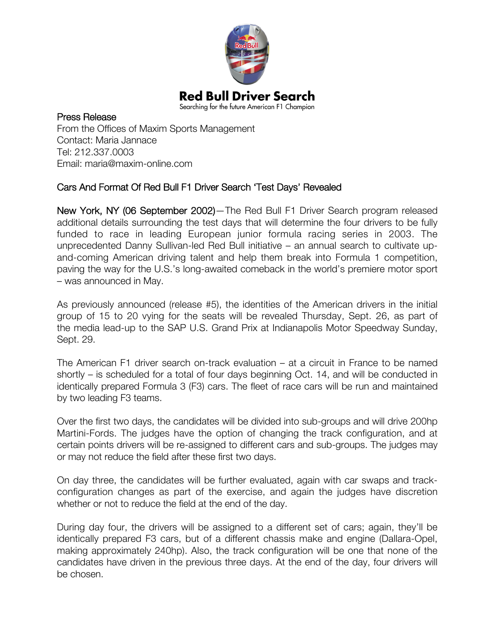

## Press Release From the Offices of Maxim Sports Management Contact: Maria Jannace Tel: 212.337.0003 Email: maria@maxim-online.com

## Cars And Format Of Red Bull F1 Driver Search 'Test Days' Revealed

New York, NY (06 September 2002)—The Red Bull F1 Driver Search program released additional details surrounding the test days that will determine the four drivers to be fully funded to race in leading European junior formula racing series in 2003. The unprecedented Danny Sullivan-led Red Bull initiative – an annual search to cultivate upand-coming American driving talent and help them break into Formula 1 competition, paving the way for the U.S.'s long-awaited comeback in the world's premiere motor sport – was announced in May.

As previously announced (release #5), the identities of the American drivers in the initial group of 15 to 20 vying for the seats will be revealed Thursday, Sept. 26, as part of the media lead-up to the SAP U.S. Grand Prix at Indianapolis Motor Speedway Sunday, Sept. 29.

The American F1 driver search on-track evaluation – at a circuit in France to be named shortly – is scheduled for a total of four days beginning Oct. 14, and will be conducted in identically prepared Formula 3 (F3) cars. The fleet of race cars will be run and maintained by two leading F3 teams.

Over the first two days, the candidates will be divided into sub-groups and will drive 200hp Martini-Fords. The judges have the option of changing the track configuration, and at certain points drivers will be re-assigned to different cars and sub-groups. The judges may or may not reduce the field after these first two days.

On day three, the candidates will be further evaluated, again with car swaps and trackconfiguration changes as part of the exercise, and again the judges have discretion whether or not to reduce the field at the end of the day.

During day four, the drivers will be assigned to a different set of cars; again, they'll be identically prepared F3 cars, but of a different chassis make and engine (Dallara-Opel, making approximately 240hp). Also, the track configuration will be one that none of the candidates have driven in the previous three days. At the end of the day, four drivers will be chosen.